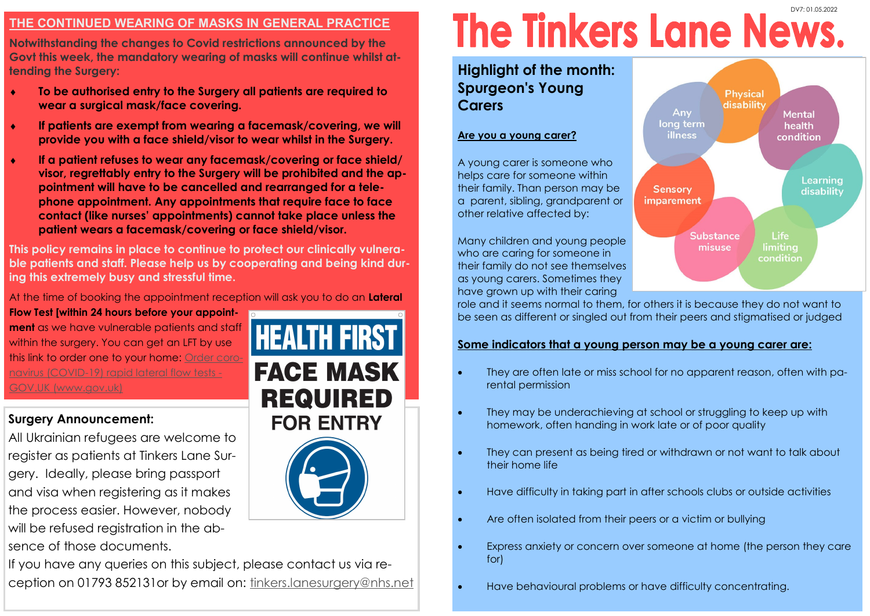## **THE CONTINUED WEARING OF MASKS IN GENERAL PRACTICE**

**Notwithstanding the changes to Covid restrictions announced by the Govt this week, the mandatory wearing of masks will continue whilst attending the Surgery:**

- **To be authorised entry to the Surgery all patients are required to wear a surgical mask/face covering.**
- **If patients are exempt from wearing a facemask/covering, we will provide you with a face shield/visor to wear whilst in the Surgery.**
- **If a patient refuses to wear any facemask/covering or face shield/ visor, regrettably entry to the Surgery will be prohibited and the appointment will have to be cancelled and rearranged for a telephone appointment. Any appointments that require face to face contact (like nurses' appointments) cannot take place unless the patient wears a facemask/covering or face shield/visor.**

**This policy remains in place to continue to protect our clinically vulnerable patients and staff. Please help us by cooperating and being kind during this extremely busy and stressful time.**

At the time of booking the appointment reception will ask you to do an **Lateral** 

**Flow Test [within 24 hours before your appointment** as we have vulnerable patients and staff within the surgery. You can get an LFT by use this link to order one to your home: [Order coro](https://www.gov.uk/order-coronavirus-rapid-lateral-flow-tests)[navirus \(COVID-19\) rapid lateral flow tests -](https://www.gov.uk/order-coronavirus-rapid-lateral-flow-tests) [GOV.UK \(www.gov.uk\)](https://www.gov.uk/order-coronavirus-rapid-lateral-flow-tests)

# **Surgery Announcement:**

All Ukrainian refugees are welcome to register as patients at Tinkers Lane Surgery. Ideally, please bring passport and visa when registering as it makes the process easier. However, nobody will be refused registration in the absence of those documents.



# If you have any queries on this subject, please contact us via reception on 01793 852131or by email on: [tinkers.lanesurgery@nhs.net](mailto:tinkers.lanesurgery@nhs.net)

# **The Tinkers Lane News.**

**Highlight of the month: Spurgeon's Young Carers**

#### **Are you a young carer?**

A young carer is someone who helps care for someone within their family. Than person may be a parent, sibling, grandparent or other relative affected by:

Many children and young people who are caring for someone in their family do not see themselves as young carers. Sometimes they have grown up with their caring



role and it seems normal to them, for others it is because they do not want to be seen as different or singled out from their peers and stigmatised or judged

## **Some indicators that a young person may be a young carer are:**

- They are often late or miss school for no apparent reason, often with parental permission
- They may be underachieving at school or struggling to keep up with homework, often handing in work late or of poor quality
- They can present as being tired or withdrawn or not want to talk about their home life
- Have difficulty in taking part in after schools clubs or outside activities
- Are often isolated from their peers or a victim or bullying
- Express anxiety or concern over someone at home (the person they care for)
- Have behavioural problems or have difficulty concentrating.